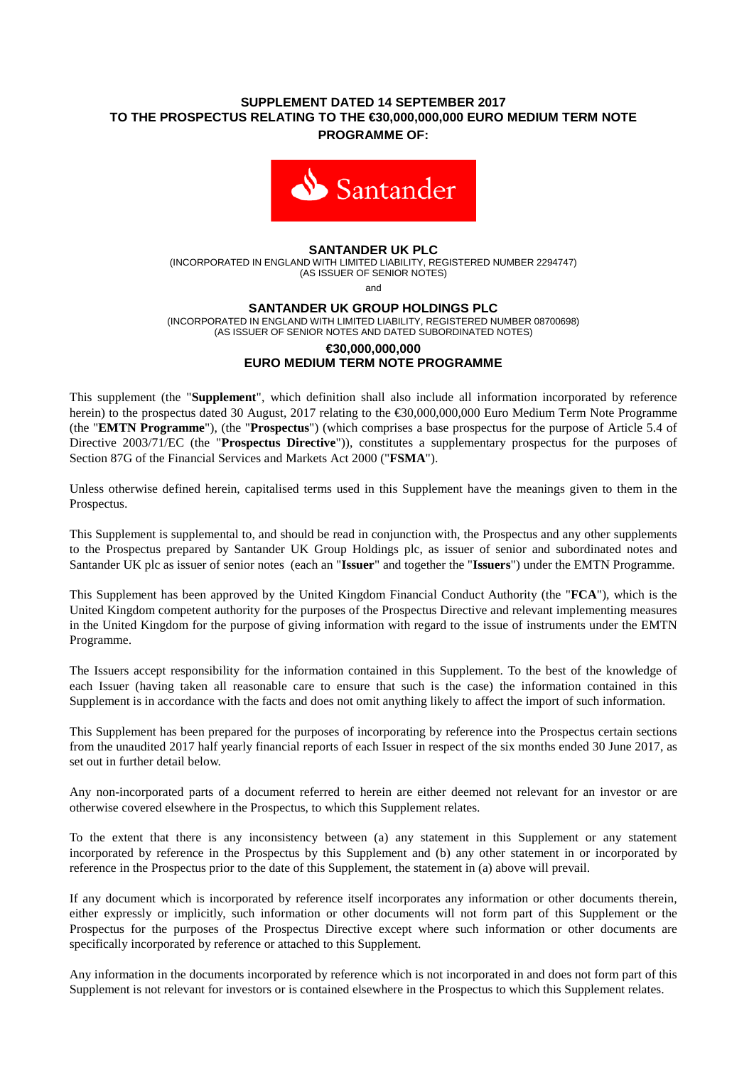# **SUPPLEMENT DATED 14 SEPTEMBER 2017 TO THE PROSPECTUS RELATING TO THE €30,000,000,000 EURO MEDIUM TERM NOTE PROGRAMME OF:**



### **SANTANDER UK PLC**

(INCORPORATED IN ENGLAND WITH LIMITED LIABILITY, REGISTERED NUMBER 2294747) (AS ISSUER OF SENIOR NOTES)

and

#### **SANTANDER UK GROUP HOLDINGS PLC**

(INCORPORATED IN ENGLAND WITH LIMITED LIABILITY, REGISTERED NUMBER 08700698)

#### (AS ISSUER OF SENIOR NOTES AND DATED SUBORDINATED NOTES) **€30,000,000,000**

# **EURO MEDIUM TERM NOTE PROGRAMME**

This supplement (the "**Supplement**", which definition shall also include all information incorporated by reference herein) to the prospectus dated 30 August, 2017 relating to the €30,000,000,000 Euro Medium Term Note Programme (the "**EMTN Programme**"), (the "**Prospectus**") (which comprises a base prospectus for the purpose of Article 5.4 of Directive 2003/71/EC (the "**Prospectus Directive**")), constitutes a supplementary prospectus for the purposes of Section 87G of the Financial Services and Markets Act 2000 ("**FSMA**").

Unless otherwise defined herein, capitalised terms used in this Supplement have the meanings given to them in the Prospectus.

This Supplement is supplemental to, and should be read in conjunction with, the Prospectus and any other supplements to the Prospectus prepared by Santander UK Group Holdings plc, as issuer of senior and subordinated notes and Santander UK plc as issuer of senior notes (each an "**Issuer**" and together the "**Issuers**") under the EMTN Programme.

This Supplement has been approved by the United Kingdom Financial Conduct Authority (the "**FCA**"), which is the United Kingdom competent authority for the purposes of the Prospectus Directive and relevant implementing measures in the United Kingdom for the purpose of giving information with regard to the issue of instruments under the EMTN Programme.

The Issuers accept responsibility for the information contained in this Supplement. To the best of the knowledge of each Issuer (having taken all reasonable care to ensure that such is the case) the information contained in this Supplement is in accordance with the facts and does not omit anything likely to affect the import of such information.

This Supplement has been prepared for the purposes of incorporating by reference into the Prospectus certain sections from the unaudited 2017 half yearly financial reports of each Issuer in respect of the six months ended 30 June 2017, as set out in further detail below.

Any non-incorporated parts of a document referred to herein are either deemed not relevant for an investor or are otherwise covered elsewhere in the Prospectus, to which this Supplement relates.

To the extent that there is any inconsistency between (a) any statement in this Supplement or any statement incorporated by reference in the Prospectus by this Supplement and (b) any other statement in or incorporated by reference in the Prospectus prior to the date of this Supplement, the statement in (a) above will prevail.

If any document which is incorporated by reference itself incorporates any information or other documents therein, either expressly or implicitly, such information or other documents will not form part of this Supplement or the Prospectus for the purposes of the Prospectus Directive except where such information or other documents are specifically incorporated by reference or attached to this Supplement.

Any information in the documents incorporated by reference which is not incorporated in and does not form part of this Supplement is not relevant for investors or is contained elsewhere in the Prospectus to which this Supplement relates.